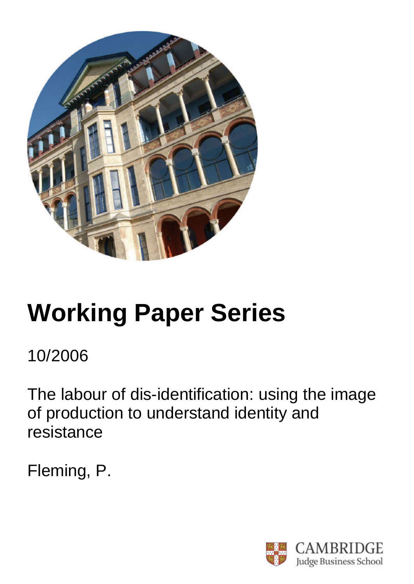

# **Working Paper Series**

10/2006

The labour of dis-identification: using the image of production to understand identity and resistance

Fleming, P.

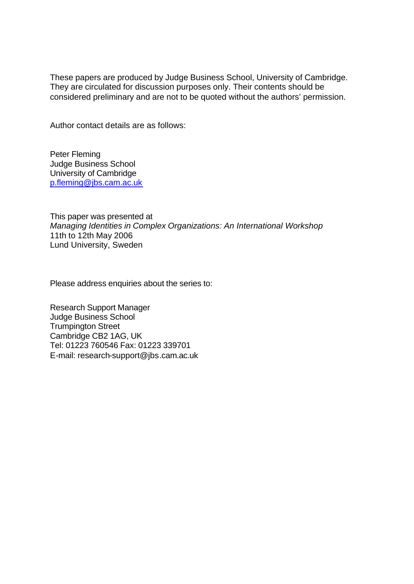These papers are produced by Judge Business School, University of Cambridge. They are circulated for discussion purposes only. Their contents should be considered preliminary and are not to be quoted without the authors' permission.

Author contact details are as follows:

Peter Fleming Judge Business School University of Cambridge p.fleming@jbs.cam.ac.uk

This paper was presented at *Managing Identities in Complex Organizations: An International Workshop* 11th to 12th May 2006 Lund University, Sweden

Please address enquiries about the series to:

Research Support Manager Judge Business School Trumpington Street Cambridge CB2 1AG, UK Tel: 01223 760546 Fax: 01223 339701 E-mail: research-support@jbs.cam.ac.uk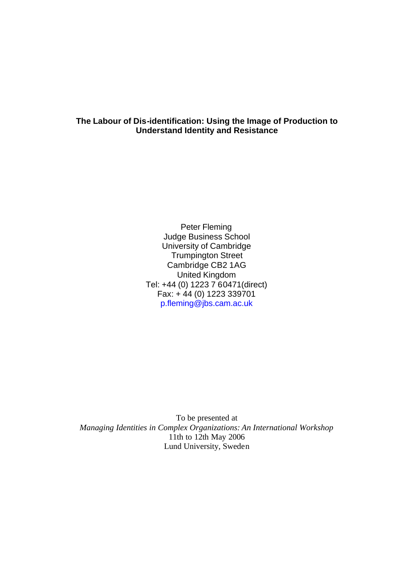# **The Labour of Dis-identification: Using the Image of Production to Understand Identity and Resistance**

Peter Fleming Judge Business School University of Cambridge Trumpington Street Cambridge CB2 1AG United Kingdom Tel: +44 (0) 1223 7 60471(direct) Fax: + 44 (0) 1223 339701 p.fleming@jbs.cam.ac.uk

To be presented at *Managing Identities in Complex Organizations: An International Workshop* 11th to 12th May 2006 Lund University, Sweden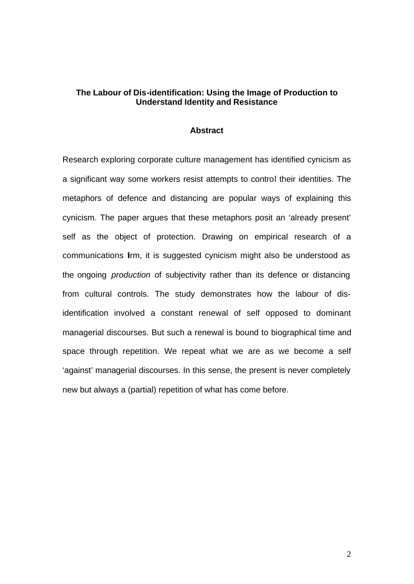# **The Labour of Dis-identification: Using the Image of Production to Understand Identity and Resistance**

## **Abstract**

Research exploring corporate culture management has identified cynicism as a significant way some workers resist attempts to control their identities. The metaphors of defence and distancing are popular ways of explaining this cynicism. The paper argues that these metaphors posit an 'already present' self as the object of protection. Drawing on empirical research of a communications firm, it is suggested cynicism might also be understood as the ongoing *production* of subjectivity rather than its defence or distancing from cultural controls. The study demonstrates how the labour of disidentification involved a constant renewal of self opposed to dominant managerial discourses. But such a renewal is bound to biographical time and space through repetition. We repeat what we are as we become a self 'against' managerial discourses. In this sense, the present is never completely new but always a (partial) repetition of what has come before.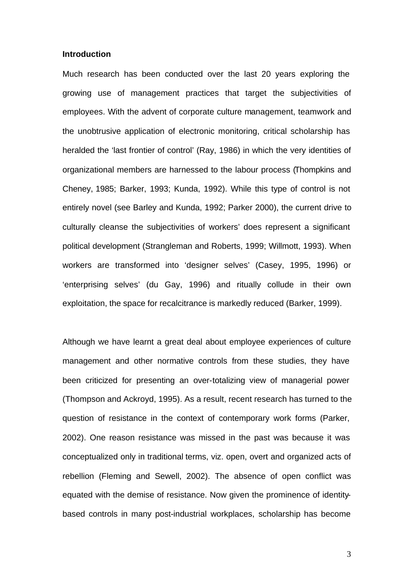## **Introduction**

Much research has been conducted over the last 20 years exploring the growing use of management practices that target the subjectivities of employees. With the advent of corporate culture management, teamwork and the unobtrusive application of electronic monitoring, critical scholarship has heralded the 'last frontier of control' (Ray, 1986) in which the very identities of organizational members are harnessed to the labour process (Thompkins and Cheney, 1985; Barker, 1993; Kunda, 1992). While this type of control is not entirely novel (see Barley and Kunda, 1992; Parker 2000), the current drive to culturally cleanse the subjectivities of workers' does represent a significant political development (Strangleman and Roberts, 1999; Willmott, 1993). When workers are transformed into 'designer selves' (Casey, 1995, 1996) or 'enterprising selves' (du Gay, 1996) and ritually collude in their own exploitation, the space for recalcitrance is markedly reduced (Barker, 1999).

Although we have learnt a great deal about employee experiences of culture management and other normative controls from these studies, they have been criticized for presenting an over-totalizing view of managerial power (Thompson and Ackroyd, 1995). As a result, recent research has turned to the question of resistance in the context of contemporary work forms (Parker, 2002). One reason resistance was missed in the past was because it was conceptualized only in traditional terms, viz. open, overt and organized acts of rebellion (Fleming and Sewell, 2002). The absence of open conflict was equated with the demise of resistance. Now given the prominence of identitybased controls in many post-industrial workplaces, scholarship has become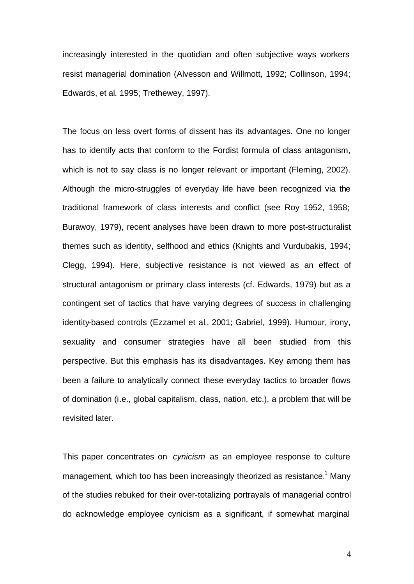increasingly interested in the quotidian and often subjective ways workers resist managerial domination (Alvesson and Willmott, 1992; Collinson, 1994; Edwards, et al*.* 1995; Trethewey, 1997).

The focus on less overt forms of dissent has its advantages. One no longer has to identify acts that conform to the Fordist formula of class antagonism, which is not to say class is no longer relevant or important (Fleming, 2002). Although the micro-struggles of everyday life have been recognized via the traditional framework of class interests and conflict (see Roy 1952, 1958; Burawoy, 1979), recent analyses have been drawn to more post-structuralist themes such as identity, selfhood and ethics (Knights and Vurdubakis, 1994; Clegg, 1994). Here, subjective resistance is not viewed as an effect of structural antagonism or primary class interests (cf. Edwards, 1979) but as a contingent set of tactics that have varying degrees of success in challenging identity-based controls (Ezzamel et al*.*, 2001; Gabriel, 1999). Humour, irony, sexuality and consumer strategies have all been studied from this perspective. But this emphasis has its disadvantages. Key among them has been a failure to analytically connect these everyday tactics to broader flows of domination (i.e., global capitalism, class, nation, etc.), a problem that will be revisited later.

This paper concentrates on *cynicism* as an employee response to culture management, which too has been increasingly theorized as resistance.<sup>1</sup> Many of the studies rebuked for their over-totalizing portrayals of managerial control do acknowledge employee cynicism as a significant, if somewhat marginal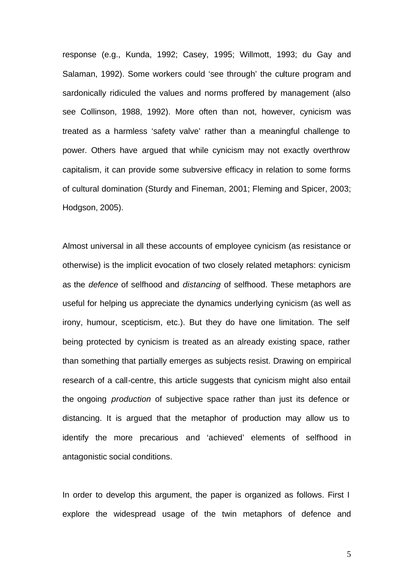response (e.g., Kunda, 1992; Casey, 1995; Willmott, 1993; du Gay and Salaman, 1992). Some workers could 'see through' the culture program and sardonically ridiculed the values and norms proffered by management (also see Collinson, 1988, 1992). More often than not, however, cynicism was treated as a harmless 'safety valve' rather than a meaningful challenge to power. Others have argued that while cynicism may not exactly overthrow capitalism, it can provide some subversive efficacy in relation to some forms of cultural domination (Sturdy and Fineman, 2001; Fleming and Spicer, 2003; Hodgson, 2005).

Almost universal in all these accounts of employee cynicism (as resistance or otherwise) is the implicit evocation of two closely related metaphors: cynicism as the *defence* of selfhood and *distancing* of selfhood. These metaphors are useful for helping us appreciate the dynamics underlying cynicism (as well as irony, humour, scepticism, etc.). But they do have one limitation. The self being protected by cynicism is treated as an already existing space, rather than something that partially emerges as subjects resist. Drawing on empirical research of a call-centre, this article suggests that cynicism might also entail the ongoing *production* of subjective space rather than just its defence or distancing. It is argued that the metaphor of production may allow us to identify the more precarious and 'achieved' elements of selfhood in antagonistic social conditions.

In order to develop this argument, the paper is organized as follows. First I explore the widespread usage of the twin metaphors of defence and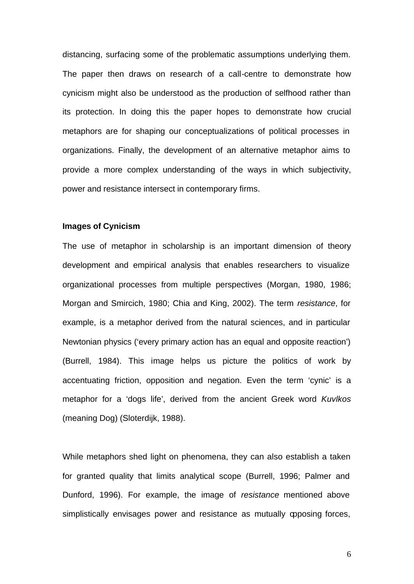distancing, surfacing some of the problematic assumptions underlying them. The paper then draws on research of a call-centre to demonstrate how cynicism might also be understood as the production of selfhood rather than its protection. In doing this the paper hopes to demonstrate how crucial metaphors are for shaping our conceptualizations of political processes in organizations. Finally, the development of an alternative metaphor aims to provide a more complex understanding of the ways in which subjectivity, power and resistance intersect in contemporary firms.

# **Images of Cynicism**

The use of metaphor in scholarship is an important dimension of theory development and empirical analysis that enables researchers to visualize organizational processes from multiple perspectives (Morgan, 1980, 1986; Morgan and Smircich, 1980; Chia and King, 2002). The term *resistance*, for example, is a metaphor derived from the natural sciences, and in particular Newtonian physics ('every primary action has an equal and opposite reaction') (Burrell, 1984). This image helps us picture the politics of work by accentuating friction, opposition and negation. Even the term 'cynic' is a metaphor for a 'dogs life', derived from the ancient Greek word *Kuvlkos* (meaning Dog) (Sloterdijk, 1988).

While metaphors shed light on phenomena, they can also establish a taken for granted quality that limits analytical scope (Burrell, 1996; Palmer and Dunford, 1996). For example, the image of *resistance* mentioned above simplistically envisages power and resistance as mutually opposing forces,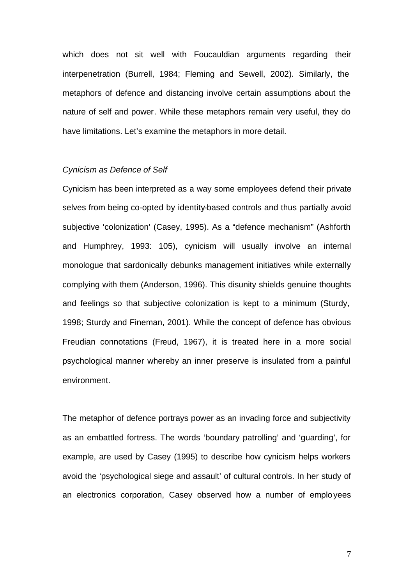which does not sit well with Foucauldian arguments regarding their interpenetration (Burrell, 1984; Fleming and Sewell, 2002). Similarly, the metaphors of defence and distancing involve certain assumptions about the nature of self and power. While these metaphors remain very useful, they do have limitations. Let's examine the metaphors in more detail.

#### *Cynicism as Defence of Self*

Cynicism has been interpreted as a way some employees defend their private selves from being co-opted by identity-based controls and thus partially avoid subjective 'colonization' (Casey, 1995). As a "defence mechanism" (Ashforth and Humphrey, 1993: 105), cynicism will usually involve an internal monologue that sardonically debunks management initiatives while externally complying with them (Anderson, 1996). This disunity shields genuine thoughts and feelings so that subjective colonization is kept to a minimum (Sturdy, 1998; Sturdy and Fineman, 2001). While the concept of defence has obvious Freudian connotations (Freud, 1967), it is treated here in a more social psychological manner whereby an inner preserve is insulated from a painful environment.

The metaphor of defence portrays power as an invading force and subjectivity as an embattled fortress. The words 'boundary patrolling' and 'guarding', for example, are used by Casey (1995) to describe how cynicism helps workers avoid the 'psychological siege and assault' of cultural controls. In her study of an electronics corporation, Casey observed how a number of employees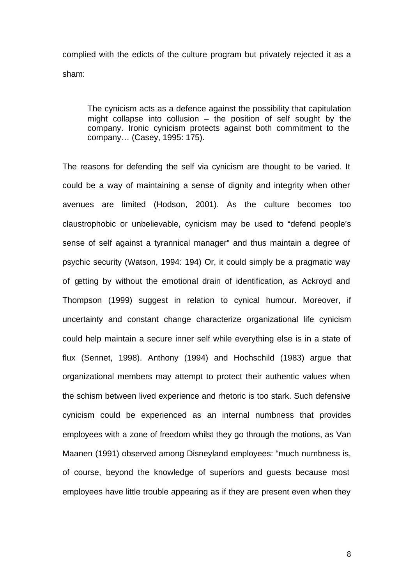complied with the edicts of the culture program but privately rejected it as a sham:

The cynicism acts as a defence against the possibility that capitulation might collapse into collusion  $-$  the position of self sought by the company. Ironic cynicism protects against both commitment to the company… (Casey, 1995: 175).

The reasons for defending the self via cynicism are thought to be varied. It could be a way of maintaining a sense of dignity and integrity when other avenues are limited (Hodson, 2001). As the culture becomes too claustrophobic or unbelievable, cynicism may be used to "defend people's sense of self against a tyrannical manager" and thus maintain a degree of psychic security (Watson, 1994: 194) Or, it could simply be a pragmatic way of getting by without the emotional drain of identification, as Ackroyd and Thompson (1999) suggest in relation to cynical humour. Moreover, if uncertainty and constant change characterize organizational life cynicism could help maintain a secure inner self while everything else is in a state of flux (Sennet, 1998). Anthony (1994) and Hochschild (1983) argue that organizational members may attempt to protect their authentic values when the schism between lived experience and rhetoric is too stark. Such defensive cynicism could be experienced as an internal numbness that provides employees with a zone of freedom whilst they go through the motions, as Van Maanen (1991) observed among Disneyland employees: "much numbness is, of course, beyond the knowledge of superiors and guests because most employees have little trouble appearing as if they are present even when they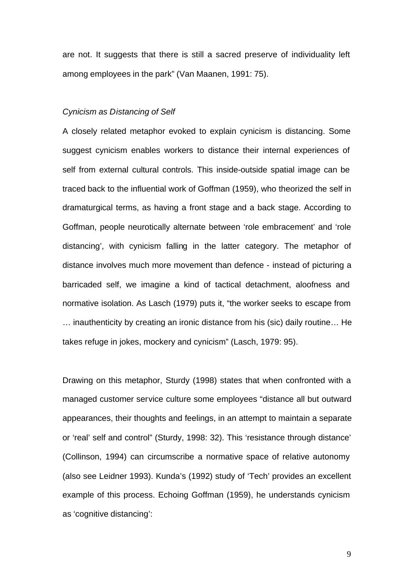are not. It suggests that there is still a sacred preserve of individuality left among employees in the park" (Van Maanen, 1991: 75).

## *Cynicism as Distancing of Self*

A closely related metaphor evoked to explain cynicism is distancing. Some suggest cynicism enables workers to distance their internal experiences of self from external cultural controls. This inside-outside spatial image can be traced back to the influential work of Goffman (1959), who theorized the self in dramaturgical terms, as having a front stage and a back stage. According to Goffman, people neurotically alternate between 'role embracement' and 'role distancing', with cynicism falling in the latter category. The metaphor of distance involves much more movement than defence - instead of picturing a barricaded self, we imagine a kind of tactical detachment, aloofness and normative isolation. As Lasch (1979) puts it, "the worker seeks to escape from … inauthenticity by creating an ironic distance from his (sic) daily routine… He takes refuge in jokes, mockery and cynicism" (Lasch, 1979: 95).

Drawing on this metaphor, Sturdy (1998) states that when confronted with a managed customer service culture some employees "distance all but outward appearances, their thoughts and feelings, in an attempt to maintain a separate or 'real' self and control" (Sturdy, 1998: 32). This 'resistance through distance' (Collinson, 1994) can circumscribe a normative space of relative autonomy (also see Leidner 1993). Kunda's (1992) study of 'Tech' provides an excellent example of this process. Echoing Goffman (1959), he understands cynicism as 'cognitive distancing':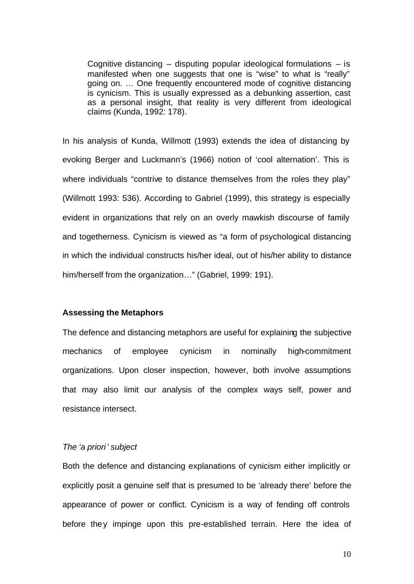Cognitive distancing – disputing popular ideological formulations – is manifested when one suggests that one is "wise" to what is "really" going on. … One frequently encountered mode of cognitive distancing is cynicism. This is usually expressed as a debunking assertion, cast as a personal insight, that reality is very different from ideological claims (Kunda, 1992: 178).

In his analysis of Kunda, Willmott (1993) extends the idea of distancing by evoking Berger and Luckmann's (1966) notion of 'cool alternation'. This is where individuals "contrive to distance themselves from the roles they play" (Willmott 1993: 536). According to Gabriel (1999), this strategy is especially evident in organizations that rely on an overly mawkish discourse of family and togetherness. Cynicism is viewed as "a form of psychological distancing in which the individual constructs his/her ideal, out of his/her ability to distance him/herself from the organization..." (Gabriel, 1999: 191).

#### **Assessing the Metaphors**

The defence and distancing metaphors are useful for explaining the subjective mechanics of employee cynicism in nominally high-commitment organizations. Upon closer inspection, however, both involve assumptions that may also limit our analysis of the complex ways self, power and resistance intersect.

#### *The 'a priori ' subject*

Both the defence and distancing explanations of cynicism either implicitly or explicitly posit a genuine self that is presumed to be 'already there' before the appearance of power or conflict. Cynicism is a way of fending off controls before they impinge upon this pre-established terrain. Here the idea of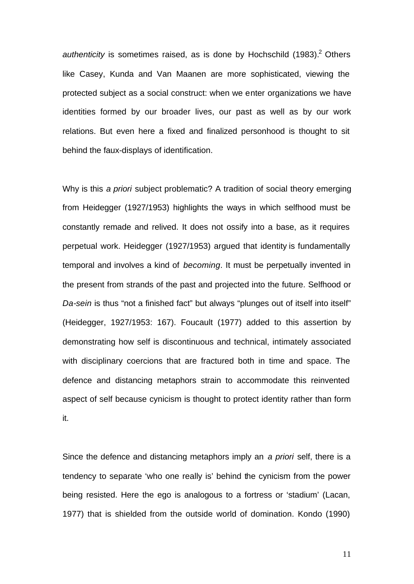authenticity is sometimes raised, as is done by Hochschild (1983).<sup>2</sup> Others like Casey, Kunda and Van Maanen are more sophisticated, viewing the protected subject as a social construct: when we enter organizations we have identities formed by our broader lives, our past as well as by our work relations. But even here a fixed and finalized personhood is thought to sit behind the faux-displays of identification.

Why is this *a priori* subject problematic? A tradition of social theory emerging from Heidegger (1927/1953) highlights the ways in which selfhood must be constantly remade and relived. It does not ossify into a base, as it requires perpetual work. Heidegger (1927/1953) argued that identity is fundamentally temporal and involves a kind of *becoming*. It must be perpetually invented in the present from strands of the past and projected into the future. Selfhood or *Da-sein* is thus "not a finished fact" but always "plunges out of itself into itself" (Heidegger, 1927/1953: 167). Foucault (1977) added to this assertion by demonstrating how self is discontinuous and technical, intimately associated with disciplinary coercions that are fractured both in time and space. The defence and distancing metaphors strain to accommodate this reinvented aspect of self because cynicism is thought to protect identity rather than form it.

Since the defence and distancing metaphors imply an *a priori* self, there is a tendency to separate 'who one really is' behind the cynicism from the power being resisted. Here the ego is analogous to a fortress or 'stadium' (Lacan, 1977) that is shielded from the outside world of domination. Kondo (1990)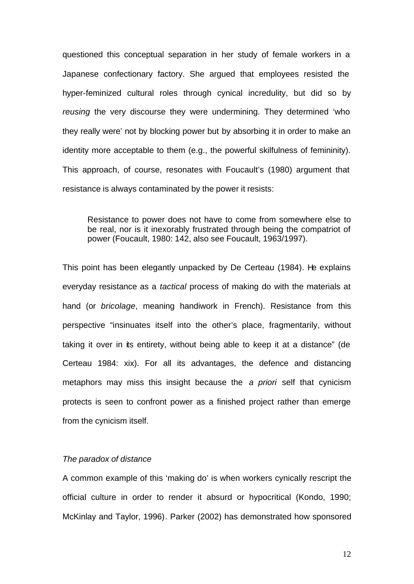questioned this conceptual separation in her study of female workers in a Japanese confectionary factory. She argued that employees resisted the hyper-feminized cultural roles through cynical incredulity, but did so by *reusing* the very discourse they were undermining. They determined 'who they really were' not by blocking power but by absorbing it in order to make an identity more acceptable to them (e.g., the powerful skilfulness of femininity). This approach, of course, resonates with Foucault's (1980) argument that resistance is always contaminated by the power it resists:

Resistance to power does not have to come from somewhere else to be real, nor is it inexorably frustrated through being the compatriot of power (Foucault, 1980: 142, also see Foucault, 1963/1997).

This point has been elegantly unpacked by De Certeau (1984). He explains everyday resistance as a *tactical* process of making do with the materials at hand (or *bricolage*, meaning handiwork in French). Resistance from this perspective "insinuates itself into the other's place, fragmentarily, without taking it over in its entirety, without being able to keep it at a distance" (de Certeau 1984: xix). For all its advantages, the defence and distancing metaphors may miss this insight because the *a priori* self that cynicism protects is seen to confront power as a finished project rather than emerge from the cynicism itself.

#### *The paradox of distance*

A common example of this 'making do' is when workers cynically rescript the official culture in order to render it absurd or hypocritical (Kondo, 1990; McKinlay and Taylor, 1996). Parker (2002) has demonstrated how sponsored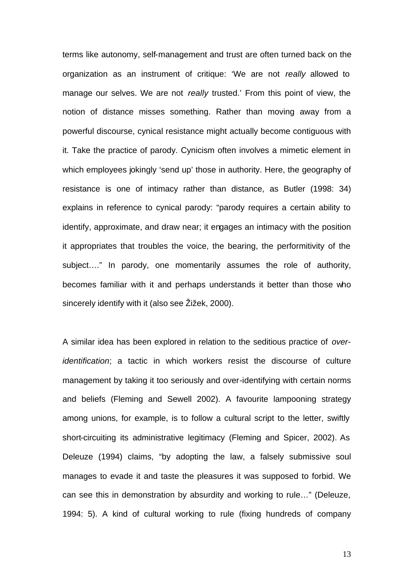terms like autonomy, self-management and trust are often turned back on the organization as an instrument of critique: 'We are not *really* allowed to manage our selves. We are not *really* trusted.' From this point of view, the notion of distance misses something. Rather than moving away from a powerful discourse, cynical resistance might actually become contiguous with it. Take the practice of parody. Cynicism often involves a mimetic element in which employees jokingly 'send up' those in authority. Here, the geography of resistance is one of intimacy rather than distance, as Butler (1998: 34) explains in reference to cynical parody: "parody requires a certain ability to identify, approximate, and draw near; it engages an intimacy with the position it appropriates that troubles the voice, the bearing, the performitivity of the subject…." In parody, one momentarily assumes the role of authority, becomes familiar with it and perhaps understands it better than those who sincerely identify with it (also see Žižek, 2000).

A similar idea has been explored in relation to the seditious practice of *overidentification*; a tactic in which workers resist the discourse of culture management by taking it too seriously and over-identifying with certain norms and beliefs (Fleming and Sewell 2002). A favourite lampooning strategy among unions, for example, is to follow a cultural script to the letter, swiftly short-circuiting its administrative legitimacy (Fleming and Spicer, 2002). As Deleuze (1994) claims, "by adopting the law, a falsely submissive soul manages to evade it and taste the pleasures it was supposed to forbid. We can see this in demonstration by absurdity and working to rule…" (Deleuze, 1994: 5). A kind of cultural working to rule (fixing hundreds of company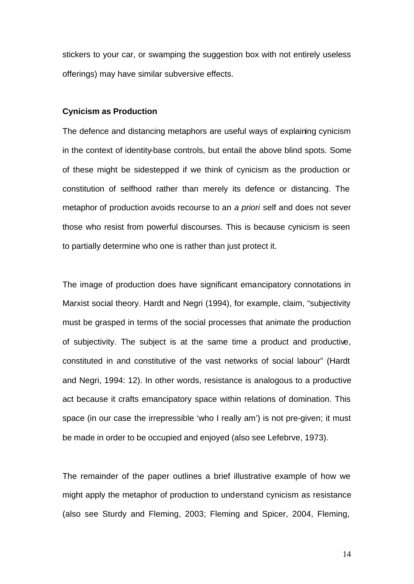stickers to your car, or swamping the suggestion box with not entirely useless offerings) may have similar subversive effects.

# **Cynicism as Production**

The defence and distancing metaphors are useful ways of explaining cynicism in the context of identity-base controls, but entail the above blind spots. Some of these might be sidestepped if we think of cynicism as the production or constitution of selfhood rather than merely its defence or distancing. The metaphor of production avoids recourse to an *a priori* self and does not sever those who resist from powerful discourses. This is because cynicism is seen to partially determine who one is rather than just protect it.

The image of production does have significant emancipatory connotations in Marxist social theory. Hardt and Negri (1994), for example, claim, "subjectivity must be grasped in terms of the social processes that animate the production of subjectivity. The subject is at the same time a product and productive, constituted in and constitutive of the vast networks of social labour" (Hardt and Negri, 1994: 12). In other words, resistance is analogous to a productive act because it crafts emancipatory space within relations of domination. This space (in our case the irrepressible 'who I really am') is not pre-given; it must be made in order to be occupied and enjoyed (also see Lefebrve, 1973).

The remainder of the paper outlines a brief illustrative example of how we might apply the metaphor of production to understand cynicism as resistance (also see Sturdy and Fleming, 2003; Fleming and Spicer, 2004, Fleming,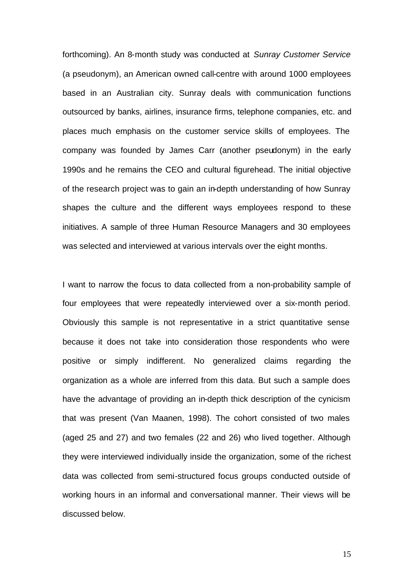forthcoming). An 8-month study was conducted at *Sunray Customer Service*  (a pseudonym), an American owned call-centre with around 1000 employees based in an Australian city. Sunray deals with communication functions outsourced by banks, airlines, insurance firms, telephone companies, etc. and places much emphasis on the customer service skills of employees. The company was founded by James Carr (another pseudonym) in the early 1990s and he remains the CEO and cultural figurehead. The initial objective of the research project was to gain an in-depth understanding of how Sunray shapes the culture and the different ways employees respond to these initiatives. A sample of three Human Resource Managers and 30 employees was selected and interviewed at various intervals over the eight months.

I want to narrow the focus to data collected from a non-probability sample of four employees that were repeatedly interviewed over a six-month period. Obviously this sample is not representative in a strict quantitative sense because it does not take into consideration those respondents who were positive or simply indifferent. No generalized claims regarding the organization as a whole are inferred from this data. But such a sample does have the advantage of providing an in-depth thick description of the cynicism that was present (Van Maanen, 1998). The cohort consisted of two males (aged 25 and 27) and two females (22 and 26) who lived together. Although they were interviewed individually inside the organization, some of the richest data was collected from semi-structured focus groups conducted outside of working hours in an informal and conversational manner. Their views will be discussed below.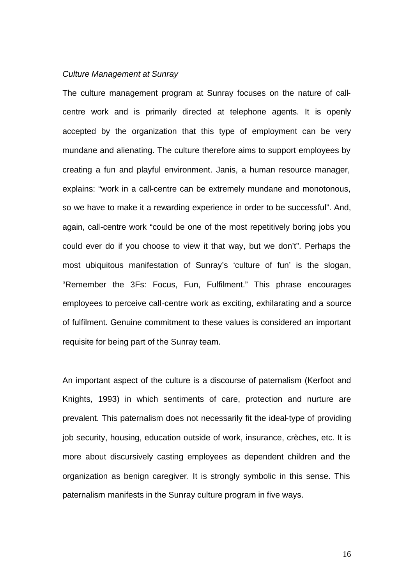#### *Culture Management at Sunray*

The culture management program at Sunray focuses on the nature of callcentre work and is primarily directed at telephone agents. It is openly accepted by the organization that this type of employment can be very mundane and alienating. The culture therefore aims to support employees by creating a fun and playful environment. Janis, a human resource manager, explains: "work in a call-centre can be extremely mundane and monotonous, so we have to make it a rewarding experience in order to be successful". And, again, call-centre work "could be one of the most repetitively boring jobs you could ever do if you choose to view it that way, but we don't". Perhaps the most ubiquitous manifestation of Sunray's 'culture of fun' is the slogan, "Remember the 3Fs: Focus, Fun, Fulfilment." This phrase encourages employees to perceive call-centre work as exciting, exhilarating and a source of fulfilment. Genuine commitment to these values is considered an important requisite for being part of the Sunray team.

An important aspect of the culture is a discourse of paternalism (Kerfoot and Knights, 1993) in which sentiments of care, protection and nurture are prevalent. This paternalism does not necessarily fit the ideal-type of providing job security, housing, education outside of work, insurance, crèches, etc. It is more about discursively casting employees as dependent children and the organization as benign caregiver. It is strongly symbolic in this sense. This paternalism manifests in the Sunray culture program in five ways.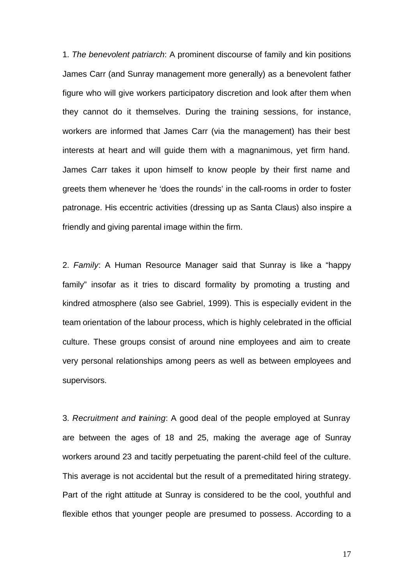1. *The benevolent patriarch*: A prominent discourse of family and kin positions James Carr (and Sunray management more generally) as a benevolent father figure who will give workers participatory discretion and look after them when they cannot do it themselves. During the training sessions, for instance, workers are informed that James Carr (via the management) has their best interests at heart and will guide them with a magnanimous, yet firm hand. James Carr takes it upon himself to know people by their first name and greets them whenever he 'does the rounds' in the call-rooms in order to foster patronage. His eccentric activities (dressing up as Santa Claus) also inspire a friendly and giving parental image within the firm.

2. *Family*: A Human Resource Manager said that Sunray is like a "happy family" insofar as it tries to discard formality by promoting a trusting and kindred atmosphere (also see Gabriel, 1999). This is especially evident in the team orientation of the labour process, which is highly celebrated in the official culture. These groups consist of around nine employees and aim to create very personal relationships among peers as well as between employees and supervisors.

3. *Recruitment and training*: A good deal of the people employed at Sunray are between the ages of 18 and 25, making the average age of Sunray workers around 23 and tacitly perpetuating the parent-child feel of the culture. This average is not accidental but the result of a premeditated hiring strategy. Part of the right attitude at Sunray is considered to be the cool, youthful and flexible ethos that younger people are presumed to possess. According to a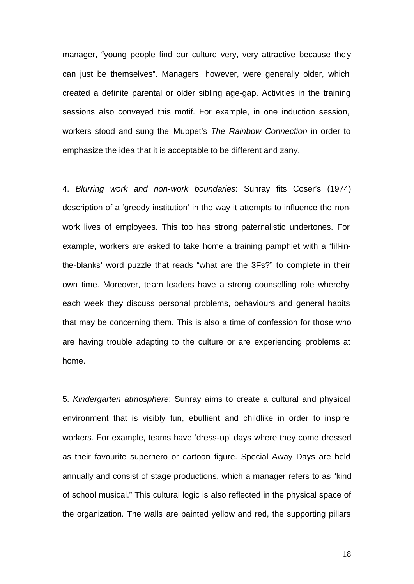manager, "young people find our culture very, very attractive because they can just be themselves". Managers, however, were generally older, which created a definite parental or older sibling age-gap. Activities in the training sessions also conveyed this motif. For example, in one induction session, workers stood and sung the Muppet's *The Rainbow Connection* in order to emphasize the idea that it is acceptable to be different and zany.

4. *Blurring work and non-work boundaries*: Sunray fits Coser's (1974) description of a 'greedy institution' in the way it attempts to influence the nonwork lives of employees. This too has strong paternalistic undertones. For example, workers are asked to take home a training pamphlet with a 'fill-inthe-blanks' word puzzle that reads "what are the 3Fs?" to complete in their own time. Moreover, team leaders have a strong counselling role whereby each week they discuss personal problems, behaviours and general habits that may be concerning them. This is also a time of confession for those who are having trouble adapting to the culture or are experiencing problems at home.

5. *Kindergarten atmosphere*: Sunray aims to create a cultural and physical environment that is visibly fun, ebullient and childlike in order to inspire workers. For example, teams have 'dress-up' days where they come dressed as their favourite superhero or cartoon figure. Special Away Days are held annually and consist of stage productions, which a manager refers to as "kind of school musical." This cultural logic is also reflected in the physical space of the organization. The walls are painted yellow and red, the supporting pillars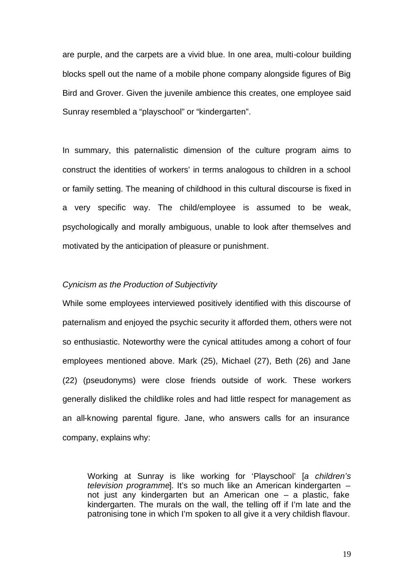are purple, and the carpets are a vivid blue. In one area, multi-colour building blocks spell out the name of a mobile phone company alongside figures of Big Bird and Grover. Given the juvenile ambience this creates, one employee said Sunray resembled a "playschool" or "kindergarten".

In summary, this paternalistic dimension of the culture program aims to construct the identities of workers' in terms analogous to children in a school or family setting. The meaning of childhood in this cultural discourse is fixed in a very specific way. The child/employee is assumed to be weak, psychologically and morally ambiguous, unable to look after themselves and motivated by the anticipation of pleasure or punishment.

# *Cynicism as the Production of Subjectivity*

While some employees interviewed positively identified with this discourse of paternalism and enjoyed the psychic security it afforded them, others were not so enthusiastic. Noteworthy were the cynical attitudes among a cohort of four employees mentioned above. Mark (25), Michael (27), Beth (26) and Jane (22) (pseudonyms) were close friends outside of work. These workers generally disliked the childlike roles and had little respect for management as an all-knowing parental figure. Jane, who answers calls for an insurance company, explains why:

Working at Sunray is like working for 'Playschool' [*a children's television programme*]. It's so much like an American kindergarten – not just any kindergarten but an American one – a plastic, fake kindergarten. The murals on the wall, the telling off if I'm late and the patronising tone in which I'm spoken to all give it a very childish flavour.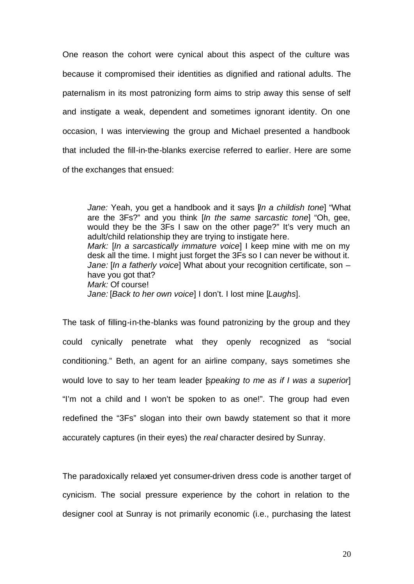One reason the cohort were cynical about this aspect of the culture was because it compromised their identities as dignified and rational adults. The paternalism in its most patronizing form aims to strip away this sense of self and instigate a weak, dependent and sometimes ignorant identity. On one occasion, I was interviewing the group and Michael presented a handbook that included the fill-in-the-blanks exercise referred to earlier. Here are some of the exchanges that ensued:

*Jane:* Yeah, you get a handbook and it says [*In a childish tone*] "What are the 3Fs?" and you think [*In the same sarcastic tone*] "Oh, gee, would they be the 3Fs I saw on the other page?" It's very much an adult/child relationship they are trying to instigate here. *Mark:* [*In a sarcastically immature voice*] I keep mine with me on my desk all the time. I might just forget the 3Fs so I can never be without it. *Jane:* [*In a fatherly voice*] What about your recognition certificate, son – have you got that? *Mark:* Of course! *Jane:* [*Back to her own voice*] I don't. I lost mine [*Laughs*].

The task of filling-in-the-blanks was found patronizing by the group and they could cynically penetrate what they openly recognized as "social conditioning." Beth, an agent for an airline company, says sometimes she would love to say to her team leader [*speaking to me as if I was a superior*] "I'm not a child and I won't be spoken to as one!". The group had even redefined the "3Fs" slogan into their own bawdy statement so that it more accurately captures (in their eyes) the *real* character desired by Sunray.

The paradoxically relaxed yet consumer-driven dress code is another target of cynicism. The social pressure experience by the cohort in relation to the designer cool at Sunray is not primarily economic (i.e., purchasing the latest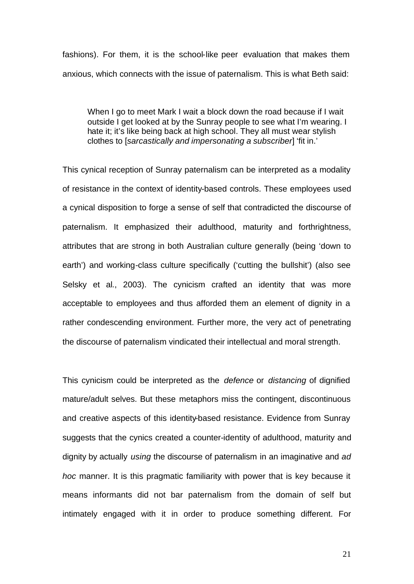fashions). For them, it is the school-like peer evaluation that makes them anxious, which connects with the issue of paternalism. This is what Beth said:

When I go to meet Mark I wait a block down the road because if I wait outside I get looked at by the Sunray people to see what I'm wearing. I hate it; it's like being back at high school. They all must wear stylish clothes to [*sarcastically and impersonating a subscriber*] 'fit in.'

This cynical reception of Sunray paternalism can be interpreted as a modality of resistance in the context of identity-based controls. These employees used a cynical disposition to forge a sense of self that contradicted the discourse of paternalism. It emphasized their adulthood, maturity and forthrightness, attributes that are strong in both Australian culture generally (being 'down to earth') and working-class culture specifically ('cutting the bullshit') (also see Selsky et al*.*, 2003). The cynicism crafted an identity that was more acceptable to employees and thus afforded them an element of dignity in a rather condescending environment. Further more, the very act of penetrating the discourse of paternalism vindicated their intellectual and moral strength.

This cynicism could be interpreted as the *defence* or *distancing* of dignified mature/adult selves. But these metaphors miss the contingent, discontinuous and creative aspects of this identity-based resistance. Evidence from Sunray suggests that the cynics created a counter-identity of adulthood, maturity and dignity by actually *using* the discourse of paternalism in an imaginative and *ad hoc* manner. It is this pragmatic familiarity with power that is key because it means informants did not bar paternalism from the domain of self but intimately engaged with it in order to produce something different. For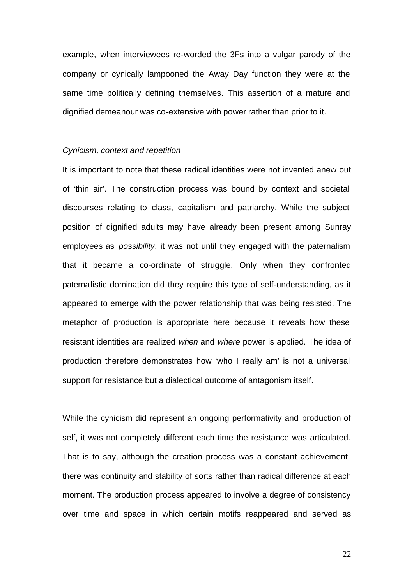example, when interviewees re-worded the 3Fs into a vulgar parody of the company or cynically lampooned the Away Day function they were at the same time politically defining themselves. This assertion of a mature and dignified demeanour was co-extensive with power rather than prior to it.

## *Cynicism, context and repetition*

It is important to note that these radical identities were not invented anew out of 'thin air'. The construction process was bound by context and societal discourses relating to class, capitalism and patriarchy. While the subject position of dignified adults may have already been present among Sunray employees as *possibility*, it was not until they engaged with the paternalism that it became a co-ordinate of struggle. Only when they confronted paternalistic domination did they require this type of self-understanding, as it appeared to emerge with the power relationship that was being resisted. The metaphor of production is appropriate here because it reveals how these resistant identities are realized *when* and *where* power is applied. The idea of production therefore demonstrates how 'who I really am' is not a universal support for resistance but a dialectical outcome of antagonism itself.

While the cynicism did represent an ongoing performativity and production of self, it was not completely different each time the resistance was articulated. That is to say, although the creation process was a constant achievement, there was continuity and stability of sorts rather than radical difference at each moment. The production process appeared to involve a degree of consistency over time and space in which certain motifs reappeared and served as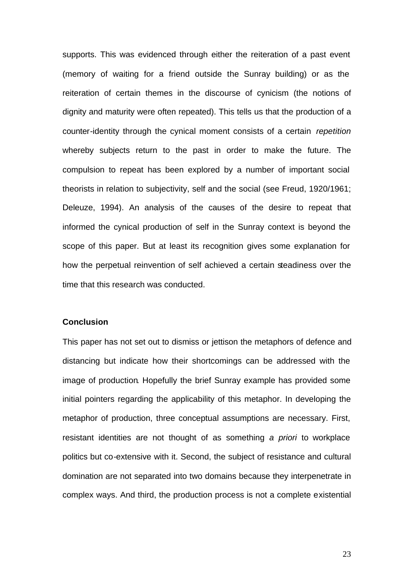supports. This was evidenced through either the reiteration of a past event (memory of waiting for a friend outside the Sunray building) or as the reiteration of certain themes in the discourse of cynicism (the notions of dignity and maturity were often repeated). This tells us that the production of a counter-identity through the cynical moment consists of a certain *repetition* whereby subjects return to the past in order to make the future. The compulsion to repeat has been explored by a number of important social theorists in relation to subjectivity, self and the social (see Freud, 1920/1961; Deleuze, 1994). An analysis of the causes of the desire to repeat that informed the cynical production of self in the Sunray context is beyond the scope of this paper. But at least its recognition gives some explanation for how the perpetual reinvention of self achieved a certain steadiness over the time that this research was conducted.

## **Conclusion**

This paper has not set out to dismiss or jettison the metaphors of defence and distancing but indicate how their shortcomings can be addressed with the image of production. Hopefully the brief Sunray example has provided some initial pointers regarding the applicability of this metaphor. In developing the metaphor of production, three conceptual assumptions are necessary. First, resistant identities are not thought of as something *a priori* to workplace politics but co-extensive with it. Second, the subject of resistance and cultural domination are not separated into two domains because they interpenetrate in complex ways. And third, the production process is not a complete existential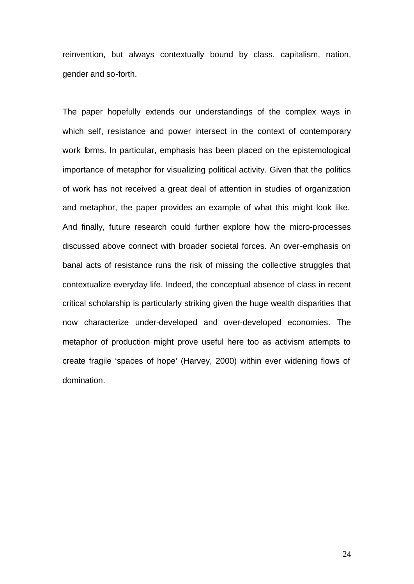reinvention, but always contextually bound by class, capitalism, nation, gender and so-forth.

The paper hopefully extends our understandings of the complex ways in which self, resistance and power intersect in the context of contemporary work forms. In particular, emphasis has been placed on the epistemological importance of metaphor for visualizing political activity. Given that the politics of work has not received a great deal of attention in studies of organization and metaphor, the paper provides an example of what this might look like. And finally, future research could further explore how the micro-processes discussed above connect with broader societal forces. An over-emphasis on banal acts of resistance runs the risk of missing the collective struggles that contextualize everyday life. Indeed, the conceptual absence of class in recent critical scholarship is particularly striking given the huge wealth disparities that now characterize under-developed and over-developed economies. The metaphor of production might prove useful here too as activism attempts to create fragile 'spaces of hope' (Harvey, 2000) within ever widening flows of domination.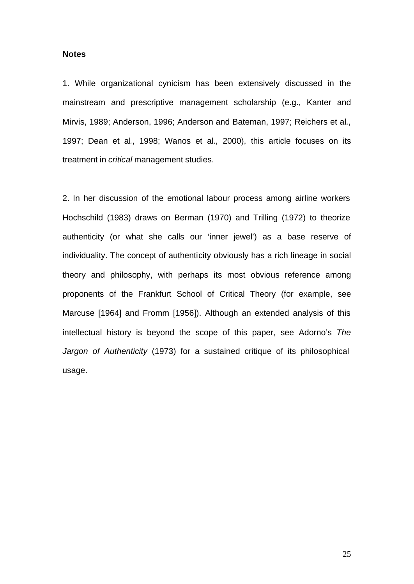## **Notes**

1. While organizational cynicism has been extensively discussed in the mainstream and prescriptive management scholarship (e.g., Kanter and Mirvis, 1989; Anderson, 1996; Anderson and Bateman, 1997; Reichers et al*.*, 1997; Dean et al*.*, 1998; Wanos et al*.*, 2000), this article focuses on its treatment in *critical* management studies.

2. In her discussion of the emotional labour process among airline workers Hochschild (1983) draws on Berman (1970) and Trilling (1972) to theorize authenticity (or what she calls our 'inner jewel') as a base reserve of individuality. The concept of authenticity obviously has a rich lineage in social theory and philosophy, with perhaps its most obvious reference among proponents of the Frankfurt School of Critical Theory (for example, see Marcuse [1964] and Fromm [1956]). Although an extended analysis of this intellectual history is beyond the scope of this paper, see Adorno's *The Jargon of Authenticity* (1973) for a sustained critique of its philosophical usage.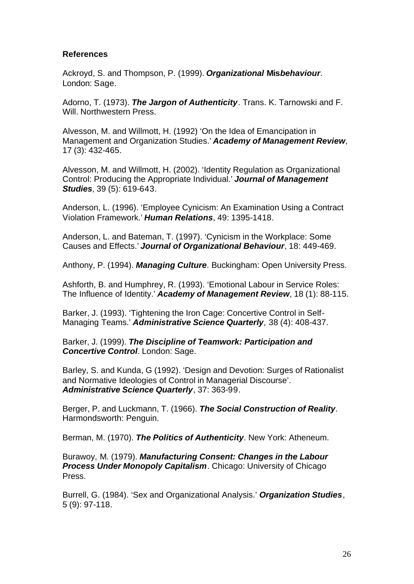# **References**

Ackroyd, S. and Thompson, P. (1999). *Organizational* **Mis***behaviour*. London: Sage.

Adorno, T. (1973). *The Jargon of Authenticity*. Trans. K. Tarnowski and F. Will. Northwestern Press.

Alvesson, M. and Willmott, H. (1992) 'On the Idea of Emancipation in Management and Organization Studies.' *Academy of Management Review*, 17 (3): 432-465.

Alvesson, M. and Willmott, H. (2002). 'Identity Regulation as Organizational Control: Producing the Appropriate Individual.' *Journal of Management Studies*, 39 (5): 619-643.

Anderson, L. (1996). 'Employee Cynicism: An Examination Using a Contract Violation Framework.' *Human Relations*, 49: 1395-1418.

Anderson, L. and Bateman, T. (1997). 'Cynicism in the Workplace: Some Causes and Effects.' *Journal of Organizational Behaviour*, 18: 449-469.

Anthony, P. (1994). *Managing Culture*. Buckingham: Open University Press.

Ashforth, B. and Humphrey, R. (1993). 'Emotional Labour in Service Roles: The Influence of Identity.' *Academy of Management Review*, 18 (1): 88-115.

Barker, J. (1993). 'Tightening the Iron Cage: Concertive Control in Self-Managing Teams.' *Administrative Science Quarterly,* 38 (4): 408-437.

Barker, J. (1999). *The Discipline of Teamwork: Participation and Concertive Control*. London: Sage.

Barley, S. and Kunda, G (1992). 'Design and Devotion: Surges of Rationalist and Normative Ideologies of Control in Managerial Discourse'. *Administrative Science Quarterly*, 37: 363-99.

Berger, P. and Luckmann, T. (1966). *The Social Construction of Reality*. Harmondsworth: Penguin.

Berman, M. (1970). *The Politics of Authenticity*. New York: Atheneum.

Burawoy, M. (1979). *Manufacturing Consent: Changes in the Labour Process Under Monopoly Capitalism*. Chicago: University of Chicago Press.

Burrell, G. (1984). 'Sex and Organizational Analysis.' *Organization Studies*, 5 (9): 97-118.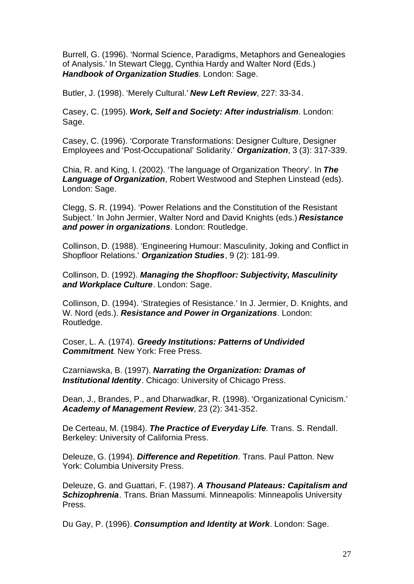Burrell, G. (1996). 'Normal Science, Paradigms, Metaphors and Genealogies of Analysis.' In Stewart Clegg, Cynthia Hardy and Walter Nord (Eds.) *Handbook of Organization Studies.* London: Sage.

Butler, J. (1998). 'Merely Cultural.' *New Left Review*, 227: 33-34.

Casey, C. (1995). *Work, Self and Society: After industrialism*. London: Sage.

Casey, C. (1996). 'Corporate Transformations: Designer Culture, Designer Employees and 'Post-Occupational' Solidarity.' *Organization*, 3 (3): 317-339.

Chia, R. and King, I. (2002). 'The language of Organization Theory'. In *The Language of Organization*, Robert Westwood and Stephen Linstead (eds). London: Sage.

Clegg, S. R. (1994). 'Power Relations and the Constitution of the Resistant Subject.' In John Jermier, Walter Nord and David Knights (eds.) *Resistance and power in organizations*. London: Routledge.

Collinson, D. (1988). 'Engineering Humour: Masculinity, Joking and Conflict in Shopfloor Relations.' *Organization Studies*, 9 (2): 181-99.

Collinson, D. (1992). *Managing the Shopfloor: Subjectivity, Masculinity and Workplace Culture*. London: Sage.

Collinson, D. (1994). 'Strategies of Resistance.' In J. Jermier, D. Knights, and W. Nord (eds.). *Resistance and Power in Organizations*. London: Routledge.

Coser, L. A. (1974). *Greedy Institutions: Patterns of Undivided Commitment*. New York: Free Press.

Czarniawska, B. (1997). *Narrating the Organization: Dramas of Institutional Identity*. Chicago: University of Chicago Press.

Dean, J., Brandes, P., and Dharwadkar, R. (1998). 'Organizational Cynicism.' *Academy of Management Review*, 23 (2): 341-352.

De Certeau, M. (1984). *The Practice of Everyday Life.* Trans. S. Rendall. Berkeley: University of California Press.

Deleuze, G. (1994). *Difference and Repetition*. Trans. Paul Patton. New York: Columbia University Press.

Deleuze, G. and Guattari, F. (1987). *A Thousand Plateaus: Capitalism and Schizophrenia*. Trans. Brian Massumi. Minneapolis: Minneapolis University Press.

Du Gay, P. (1996). *Consumption and Identity at Work*. London: Sage.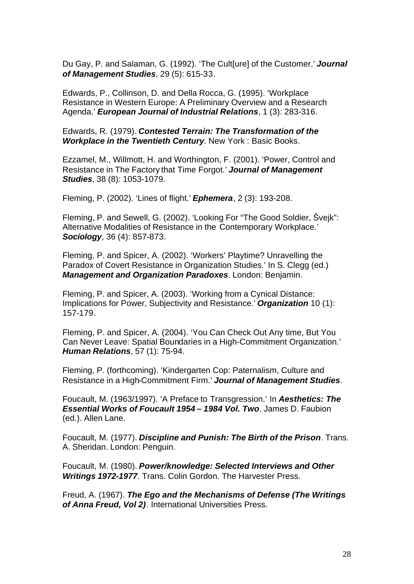Du Gay, P. and Salaman, G. (1992). 'The Cult[ure] of the Customer.' *Journal of Management Studies*, 29 (5): 615-33.

Edwards, P., Collinson, D. and Della Rocca, G. (1995). 'Workplace Resistance in Western Europe: A Preliminary Overview and a Research Agenda.' *European Journal of Industrial Relations*, 1 (3): 283-316.

Edwards, R. (1979). *Contested Terrain: The Transformation of the Workplace in the Twentieth Century.* New York : Basic Books.

Ezzamel, M., Willmott, H. and Worthington, F. (2001). 'Power, Control and Resistance in The Factory that Time Forgot.' *Journal of Management Studies*, 38 (8): 1053-1079.

Fleming, P. (2002). 'Lines of flight.' *Ephemera*, 2 (3): 193-208.

Fleming, P. and Sewell, G. (2002). 'Looking For "The Good Soldier, Švejk": Alternative Modalities of Resistance in the Contemporary Workplace.' *Sociology,* 36 (4): 857-873.

Fleming, P. and Spicer, A. (2002). 'Workers' Playtime? Unravelling the Paradox of Covert Resistance in Organization Studies.' In S. Clegg (ed.) *Management and Organization Paradoxes*. London: Benjamin.

Fleming, P. and Spicer, A. (2003). 'Working from a Cynical Distance: Implications for Power, Subjectivity and Resistance.' *Organization* 10 (1): 157-179.

Fleming, P. and Spicer, A. (2004). 'You Can Check Out Any time, But You Can Never Leave: Spatial Boundaries in a High-Commitment Organization.' *Human Relations*, 57 (1): 75-94.

Fleming, P. (forthcoming). 'Kindergarten Cop: Paternalism, Culture and Resistance in a High-Commitment Firm.' *Journal of Management Studies*.

Foucault, M. (1963/1997). 'A Preface to Transgression.' In *Aesthetics: The Essential Works of Foucault 1954 – 1984 Vol. Two*. James D. Faubion (ed.). Allen Lane.

Foucault, M. (1977). *Discipline and Punish: The Birth of the Prison*. Trans. A. Sheridan. London: Penguin.

Foucault, M. (1980). *Power/knowledge: Selected Interviews and Other Writings 1972-1977*. Trans. Colin Gordon. The Harvester Press.

Freud, A. (1967). *The Ego and the Mechanisms of Defense (The Writings of Anna Freud, Vol 2)*. International Universities Press.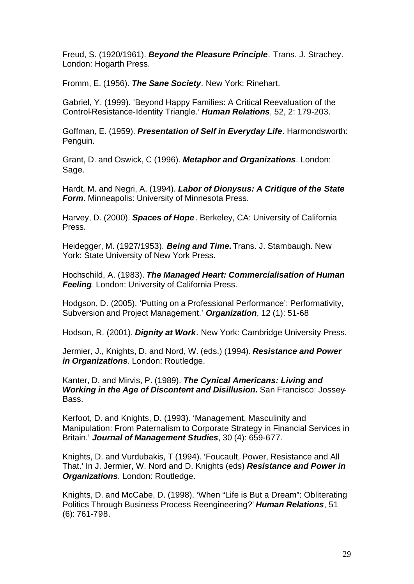Freud, S. (1920/1961). *Beyond the Pleasure Principle.* Trans. J. Strachey. London: Hogarth Press.

Fromm, E. (1956). *The Sane Society*. New York: Rinehart.

Gabriel, Y. (1999). 'Beyond Happy Families: A Critical Reevaluation of the Control-Resistance-Identity Triangle.' *Human Relations*, 52, 2: 179-203.

Goffman, E. (1959). *Presentation of Self in Everyday Life*. Harmondsworth: Penguin.

Grant, D. and Oswick, C (1996). *Metaphor and Organizations*. London: Sage.

Hardt, M. and Negri, A. (1994). *Labor of Dionysus: A Critique of the State Form*. Minneapolis: University of Minnesota Press.

Harvey, D. (2000). *Spaces of Hope*. Berkeley, CA: University of California Press.

Heidegger, M. (1927/1953). *Being and Time.* Trans. J. Stambaugh. New York: State University of New York Press.

Hochschild, A. (1983). *The Managed Heart: Commercialisation of Human Feeling.* London: University of California Press.

Hodgson, D. (2005). 'Putting on a Professional Performance': Performativity, Subversion and Project Management.' *Organization*, 12 (1): 51-68

Hodson, R. (2001). *Dignity at Work*. New York: Cambridge University Press.

Jermier, J., Knights, D. and Nord, W. (eds.) (1994). *Resistance and Power in Organizations*. London: Routledge.

Kanter, D. and Mirvis, P. (1989). *The Cynical Americans: Living and Working in the Age of Discontent and Disillusion.* San Francisco: Jossey-Bass.

Kerfoot, D. and Knights, D. (1993). 'Management, Masculinity and Manipulation: From Paternalism to Corporate Strategy in Financial Services in Britain.' *Journal of Management Studies*, 30 (4): 659-677.

Knights, D. and Vurdubakis, T (1994). 'Foucault, Power, Resistance and All That.' In J. Jermier, W. Nord and D. Knights (eds) *Resistance and Power in Organizations*. London: Routledge.

Knights, D. and McCabe, D. (1998). 'When "Life is But a Dream": Obliterating Politics Through Business Process Reengineering?' *Human Relations*, 51 (6): 761-798.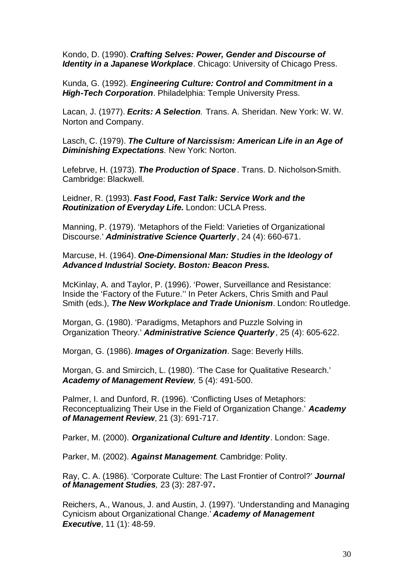Kondo, D. (1990). *Crafting Selves: Power, Gender and Discourse of Identity in a Japanese Workplace*. Chicago: University of Chicago Press.

Kunda, G. (1992). *Engineering Culture: Control and Commitment in a High-Tech Corporation*. Philadelphia: Temple University Press.

Lacan, J. (1977). *Ecrits: A Selection.* Trans. A. Sheridan. New York: W. W. Norton and Company.

Lasch, C. (1979). *The Culture of Narcissism: American Life in an Age of Diminishing Expectations.* New York: Norton.

Lefebrve, H. (1973). *The Production of Space*. Trans. D. Nicholson-Smith. Cambridge: Blackwell.

Leidner, R. (1993). *Fast Food, Fast Talk: Service Work and the Routinization of Everyday Life.* London: UCLA Press.

Manning, P. (1979). 'Metaphors of the Field: Varieties of Organizational Discourse.' *Administrative Science Quarterly*, 24 (4): 660-671.

Marcuse, H. (1964). *One-Dimensional Man: Studies in the Ideology of Advanced Industrial Society. Boston: Beacon Press.* 

McKinlay, A. and Taylor, P. (1996). 'Power, Surveillance and Resistance: Inside the 'Factory of the Future.'' In Peter Ackers, Chris Smith and Paul Smith (eds.), *The New Workplace and Trade Unionism*. London: Routledge.

Morgan, G. (1980). 'Paradigms, Metaphors and Puzzle Solving in Organization Theory.' *Administrative Science Quarterly*, 25 (4): 605-622.

Morgan, G. (1986). *Images of Organization*. Sage: Beverly Hills.

Morgan, G. and Smircich, L. (1980). 'The Case for Qualitative Research.' *Academy of Management Review,* 5 (4): 491-500.

Palmer, I. and Dunford, R. (1996). 'Conflicting Uses of Metaphors: Reconceptualizing Their Use in the Field of Organization Change.' *Academy of Management Review*, 21 (3): 691-717.

Parker, M. (2000). *Organizational Culture and Identity*. London: Sage.

Parker, M. (2002). *Against Management*. Cambridge: Polity.

Ray, C. A. (1986). 'Corporate Culture: The Last Frontier of Control?' *Journal of Management Studies,* 23 (3): 287-97**.**

Reichers, A., Wanous, J. and Austin, J. (1997). 'Understanding and Managing Cynicism about Organizational Change.' *Academy of Management Executive*, 11 (1): 48-59.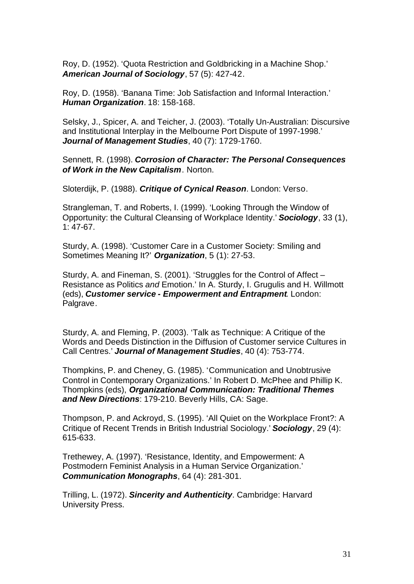Roy, D. (1952). 'Quota Restriction and Goldbricking in a Machine Shop.' *American Journal of Sociology*, 57 (5): 427-42.

Roy, D. (1958). 'Banana Time: Job Satisfaction and Informal Interaction.' *Human Organization*. 18: 158-168.

Selsky, J., Spicer, A. and Teicher, J. (2003). 'Totally Un-Australian: Discursive and Institutional Interplay in the Melbourne Port Dispute of 1997-1998.' *Journal of Management Studies*, 40 (7): 1729-1760.

Sennett, R. (1998). *Corrosion of Character: The Personal Consequences of Work in the New Capitalism*. Norton.

Sloterdijk, P. (1988). *Critique of Cynical Reason*. London: Verso.

Strangleman, T. and Roberts, I. (1999). 'Looking Through the Window of Opportunity: the Cultural Cleansing of Workplace Identity.' *Sociology*, 33 (1), 1: 47-67.

Sturdy, A. (1998). 'Customer Care in a Customer Society: Smiling and Sometimes Meaning It?' *Organization*, 5 (1): 27-53.

Sturdy, A. and Fineman, S. (2001). 'Struggles for the Control of Affect – Resistance as Politics *and* Emotion.' In A. Sturdy, I. Grugulis and H. Willmott (eds), *Customer service - Empowerment and Entrapment.* London: Palgrave*.*

Sturdy, A. and Fleming, P. (2003). 'Talk as Technique: A Critique of the Words and Deeds Distinction in the Diffusion of Customer service Cultures in Call Centres.' *Journal of Management Studies*, 40 (4): 753-774.

Thompkins, P. and Cheney, G. (1985). 'Communication and Unobtrusive Control in Contemporary Organizations.' In Robert D. McPhee and Phillip K. Thompkins (eds), *Organizational Communication: Traditional Themes and New Directions*: 179-210. Beverly Hills, CA: Sage.

Thompson, P. and Ackroyd, S. (1995). 'All Quiet on the Workplace Front?: A Critique of Recent Trends in British Industrial Sociology.' *Sociology*, 29 (4): 615-633.

Trethewey, A. (1997). 'Resistance, Identity, and Empowerment: A Postmodern Feminist Analysis in a Human Service Organization.' *Communication Monographs*, 64 (4): 281-301.

Trilling, L. (1972). *Sincerity and Authenticity*. Cambridge: Harvard University Press.